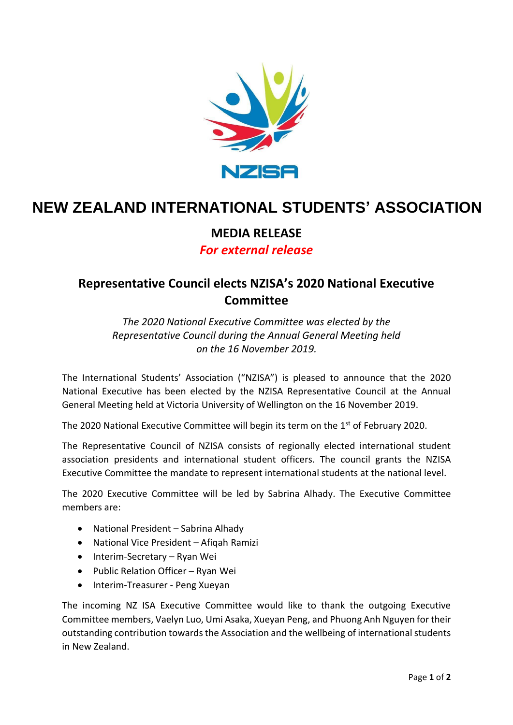

# **NEW ZEALAND INTERNATIONAL STUDENTS' ASSOCIATION**

### **MEDIA RELEASE**

### *For external release*

## **Representative Council elects NZISA's 2020 National Executive Committee**

*The 2020 National Executive Committee was elected by the Representative Council during the Annual General Meeting held on the 16 November 2019.*

The International Students' Association ("NZISA") is pleased to announce that the 2020 National Executive has been elected by the NZISA Representative Council at the Annual General Meeting held at Victoria University of Wellington on the 16 November 2019.

The 2020 National Executive Committee will begin its term on the  $1<sup>st</sup>$  of February 2020.

The Representative Council of NZISA consists of regionally elected international student association presidents and international student officers. The council grants the NZISA Executive Committee the mandate to represent international students at the national level.

The 2020 Executive Committee will be led by Sabrina Alhady. The Executive Committee members are:

- National President Sabrina Alhady
- National Vice President Afiqah Ramizi
- Interim-Secretary Ryan Wei
- Public Relation Officer Ryan Wei
- Interim-Treasurer Peng Xueyan

The incoming NZ ISA Executive Committee would like to thank the outgoing Executive Committee members, Vaelyn Luo, Umi Asaka, Xueyan Peng, and Phuong Anh Nguyen for their outstanding contribution towards the Association and the wellbeing of international students in New Zealand.